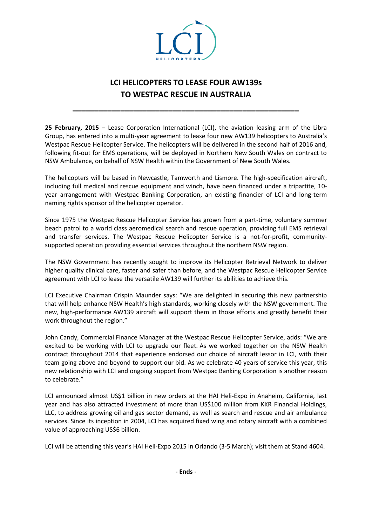

## **LCI HELICOPTERS TO LEASE FOUR AW139s TO WESTPAC RESCUE IN AUSTRALIA**

**\_\_\_\_\_\_\_\_\_\_\_\_\_\_\_\_\_\_\_\_\_\_\_\_\_\_\_\_\_\_\_\_\_\_\_\_\_\_\_\_\_\_\_\_\_\_\_\_\_\_\_\_**

**25 February, 2015** – Lease Corporation International (LCI), the aviation leasing arm of the Libra Group, has entered into a multi-year agreement to lease four new AW139 helicopters to Australia's Westpac Rescue Helicopter Service. The helicopters will be delivered in the second half of 2016 and, following fit-out for EMS operations, will be deployed in Northern New South Wales on contract to NSW Ambulance, on behalf of NSW Health within the Government of New South Wales.

The helicopters will be based in Newcastle, Tamworth and Lismore. The high-specification aircraft, including full medical and rescue equipment and winch, have been financed under a tripartite, 10 year arrangement with Westpac Banking Corporation, an existing financier of LCI and long-term naming rights sponsor of the helicopter operator.

Since 1975 the Westpac Rescue Helicopter Service has grown from a part-time, voluntary summer beach patrol to a world class aeromedical search and rescue operation, providing full EMS retrieval and transfer services. The Westpac Rescue Helicopter Service is a not-for-profit, communitysupported operation providing essential services throughout the northern NSW region.

The NSW Government has recently sought to improve its Helicopter Retrieval Network to deliver higher quality clinical care, faster and safer than before, and the Westpac Rescue Helicopter Service agreement with LCI to lease the versatile AW139 will further its abilities to achieve this.

LCI Executive Chairman Crispin Maunder says: "We are delighted in securing this new partnership that will help enhance NSW Health's high standards, working closely with the NSW government. The new, high-performance AW139 aircraft will support them in those efforts and greatly benefit their work throughout the region."

John Candy, Commercial Finance Manager at the Westpac Rescue Helicopter Service, adds: "We are excited to be working with LCI to upgrade our fleet. As we worked together on the NSW Health contract throughout 2014 that experience endorsed our choice of aircraft lessor in LCI, with their team going above and beyond to support our bid. As we celebrate 40 years of service this year, this new relationship with LCI and ongoing support from Westpac Banking Corporation is another reason to celebrate."

LCI announced almost US\$1 billion in new orders at the HAI Heli-Expo in Anaheim, California, last year and has also attracted investment of more than US\$100 million from KKR Financial Holdings, LLC, to address growing oil and gas sector demand, as well as search and rescue and air ambulance services. Since its inception in 2004, LCI has acquired fixed wing and rotary aircraft with a combined value of approaching US\$6 billion.

LCI will be attending this year's HAI Heli-Expo 2015 in Orlando (3-5 March); visit them at Stand 4604.